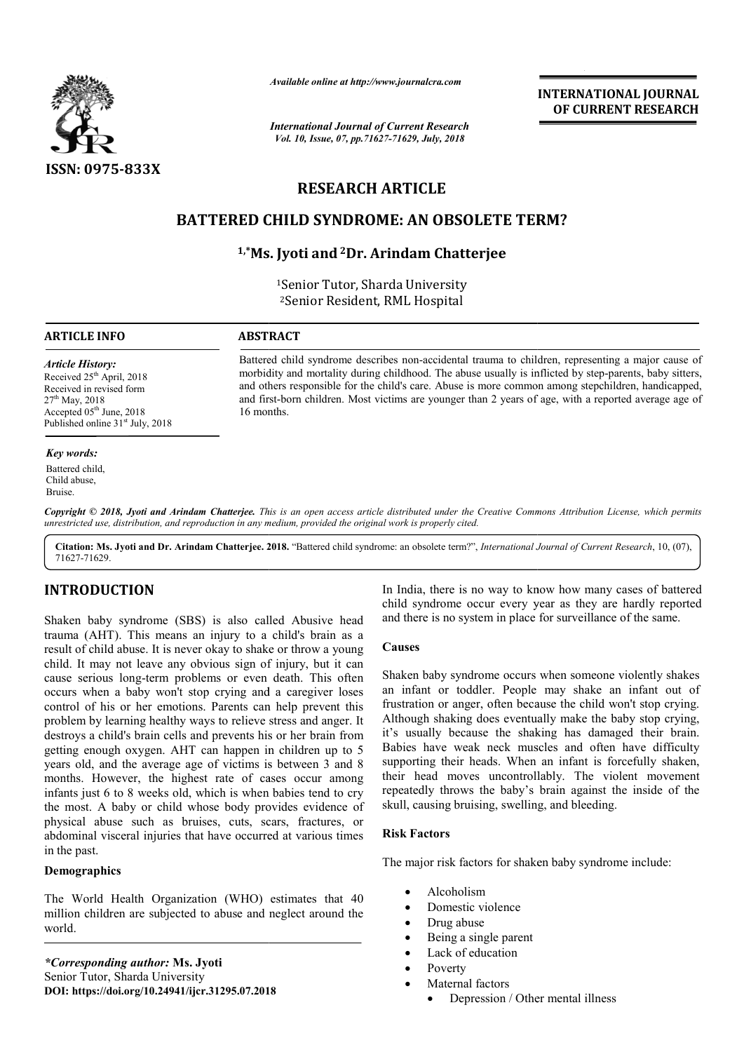

*Available online at http://www.journalcra.com*

*International Journal of Current Research Vol. 10, Issue, 07, pp.71627-71629, July, 2018*

**INTERNATIONAL JOURNAL OF CURRENT RESEARCH**

# **RESEARCH ARTICLE**

## **BATTERED CHILD SYNDROME: AN OBSOLETE TERM?**

## **1,\*Ms. Jyoti Ms. and2Dr. Arindam Chatterjee**

1Senior Tutor, Sharda University 2Senior Resident, RML Hospital

Battered child syndrome describes non-accidental trauma to children, representing a major cause of Battered child syndrome describes non-accidental trauma to children, representing a major cause of morbidity and mortality during childhood. The abuse usually is inflicted by step-parents, baby sitters, and others responsible for the child's care. Abuse is more common among stepchildren, handicapped, and first-born children. Most victims are younger than 2 years of age, with a reported average age of

#### **ARTICLE INFO ABSTRACT**

16 months.

*Article History:* Received 25<sup>th</sup> April, 2018 Received in revised form 27<sup>th</sup> May, 2018 Accepted 05<sup>th</sup> June, 2018 Published online 31<sup>st</sup> July, 2018

#### *Key words:*

Battered child, Child abuse, Bruise.

Copyright © 2018, Jyoti and Arindam Chatterjee. This is an open access article distributed under the Creative Commons Attribution License, which permits *unrestricted use, distribution, and reproduction in any medium, provided the original work is properly cited.*

Citation: Ms. Jyoti and Dr. Arindam Chatterjee. 2018. "Battered child syndrome: an obsolete term?", *International Journal of Current Research*, 10, (07), 71627-71629.

## **INTRODUCTION**

Shaken baby syndrome (SBS) is also called Abusive head trauma (AHT). This means an injury to a child's brain as a result of child abuse. It is never okay to shake or throw a young child. It may not leave any obvious sign of injury, but it can cause serious long-term problems or even death. This often occurs when a baby won't stop crying and a caregiver loses control of his or her emotions. Parents can help prevent this problem by learning healthy ways to relieve stress and anger. It destroys a child's brain cells and prevents his or her brain from getting enough oxygen. AHT can happen in children up to 5 years old, and the average age of victims is between 3 and 8 months. However, the highest rate of cases occur among infants just 6 to 8 weeks old, which is when babies tend to cry the most. A baby or child whose body provides evidence of physical abuse such as bruises, cuts, scars, fractures, or abdominal visceral injuries that have occurred at various times in the past. term problems or ever<br>y won't stop crying an<br>er emotions. Parents ca<br>healthy ways to relieve<br>ain cells and prevents h<br>gen. AHT can happen

#### **Demographics**

The World Health Organization (WHO) estimates that 40 million children are subjected to abuse and neglect around the world.

*\*Corresponding author:* **Ms. Jyoti**  Senior Tutor, Sharda University **DOI: https://doi.org/10.24941/ijcr.31295.07.2018** child syndrome occur every year as they are hardly reported child syndrome occur every year as they are hardly report and there is no system in place for surveillance of the same. In India, there is no way to know how many cases of battered

#### **Causes**

**EXECTS**<br> **EXECTS AND THE CONSUMER THE CONSUMER THE CONSUMER THE CONSULTER AND THE CONSULTER THE CONSULTER THE SIGN OF SIGN OF THE CONSULTER THE CONSULTER THE CONSULTER THE CONSULTER THE CONSULTER THE CONSULTER THE CONSULT** Shaken baby syndrome occurs when someone violently shakes an infant or toddler. People may shake an infant out of frustration or anger, often because the child won't stop crying. Although shaking does eventually make the baby stop crying, it's usually because the shaking has damaged their brain. Babies have weak neck muscles and often have difficulty supporting their heads. When an infant is forcefully shaken. their head moves uncontrollably. The violent movement repeatedly throws the baby's brain against the inside of the skull, causing bruising, swelling, and bleeding. ken baby syndrome occurs when someone violently shakes infant or toddler. People may shake an infant out of tration or anger, often because the child won't stop crying, usually because the shaking has damaged their brain. moves uncontrollably. The violent moves<br>prows the baby's brain against the inside of<br>g bruising, swelling, and bleeding.<br>s<br>sk factors for shaken baby syndrome include: **INTERNATIONAL JOURNAL**<br> **OF CURRENT RESEARCH**<br> **OF CURRENT RESEARCH**<br> **OF CURRENT RESEARCH**<br> **OF CURRENT RESEARCH**<br> **East**<br> **East**<br> **East and I trauma** to children, representing a major cause or<br>
abuse usually is inflicte

#### **Risk Factors**

The major risk factors for shaken baby syndrome include

- Alcoholism
- Domestic violence
- Drug abuse
- Being a single parent
- Lack of education
- Poverty
- Maternal factors
	- Depression / Other mental illness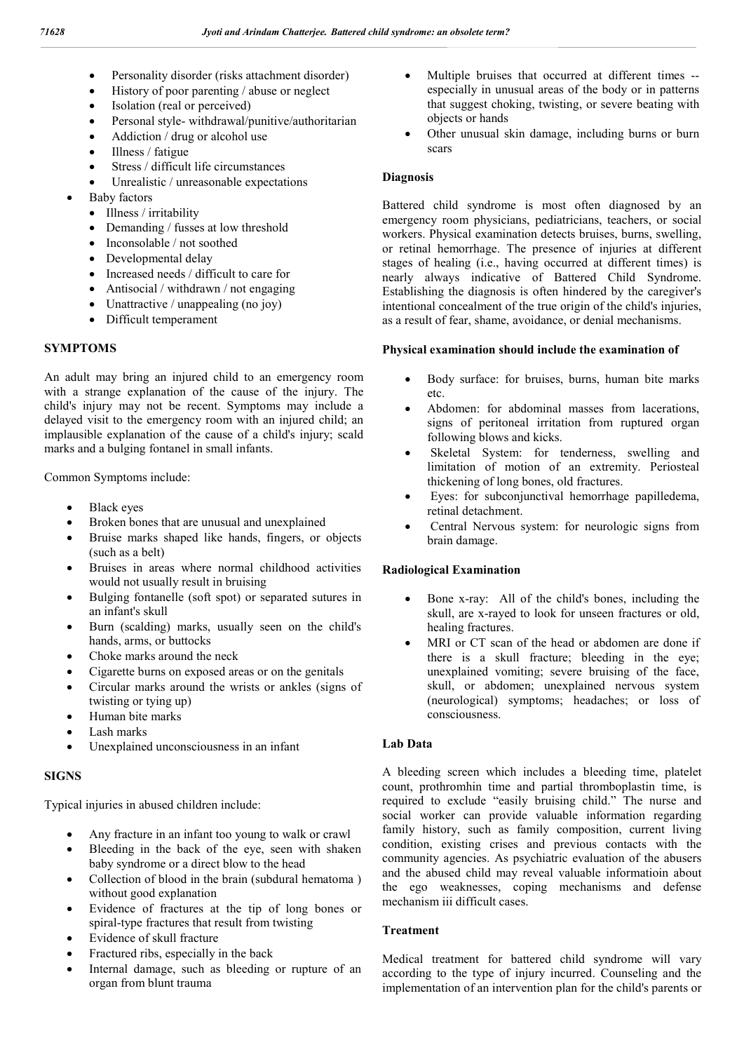- Personality disorder (risks attachment disorder)
- History of poor parenting / abuse or neglect
- Isolation (real or perceived)
- Personal style- withdrawal/punitive/authoritarian
- Addiction / drug or alcohol use
- Illness / fatigue
- Stress / difficult life circumstances
- Unrealistic / unreasonable expectations
- Baby factors
	- Illness / irritability
	- Demanding / fusses at low threshold
	- Inconsolable / not soothed
	- Developmental delay
	- Increased needs / difficult to care for
	- Antisocial / withdrawn / not engaging
	- Unattractive / unappealing (no joy)
	- Difficult temperament

## **SYMPTOMS**

An adult may bring an injured child to an emergency room with a strange explanation of the cause of the injury. The child's injury may not be recent. Symptoms may include a delayed visit to the emergency room with an injured child; an implausible explanation of the cause of a child's injury; scald marks and a bulging fontanel in small infants.

Common Symptoms include:

- Black eyes
- Broken bones that are unusual and unexplained
- Bruise marks shaped like hands, fingers, or objects (such as a belt)
- Bruises in areas where normal childhood activities would not usually result in bruising
- Bulging fontanelle (soft spot) or separated sutures in an infant's skull
- Burn (scalding) marks, usually seen on the child's hands, arms, or buttocks
- Choke marks around the neck
- Cigarette burns on exposed areas or on the genitals
- Circular marks around the wrists or ankles (signs of twisting or tying up)
- Human bite marks
- Lash marks
- Unexplained unconsciousness in an infant

## **SIGNS**

Typical injuries in abused children include:

- Any fracture in an infant too young to walk or crawl
- Bleeding in the back of the eye, seen with shaken baby syndrome or a direct blow to the head
- Collection of blood in the brain (subdural hematoma ) without good explanation
- Evidence of fractures at the tip of long bones or spiral-type fractures that result from twisting
- Evidence of skull fracture
- Fractured ribs, especially in the back
- Internal damage, such as bleeding or rupture of an organ from blunt trauma
- Multiple bruises that occurred at different times especially in unusual areas of the body or in patterns that suggest choking, twisting, or severe beating with objects or hands
- Other unusual skin damage, including burns or burn scars

## **Diagnosis**

Battered child syndrome is most often diagnosed by an emergency room physicians, pediatricians, teachers, or social workers. Physical examination detects bruises, burns, swelling, or retinal hemorrhage. The presence of injuries at different stages of healing (i.e., having occurred at different times) is nearly always indicative of Battered Child Syndrome. Establishing the diagnosis is often hindered by the caregiver's intentional concealment of the true origin of the child's injuries, as a result of fear, shame, avoidance, or denial mechanisms.

## **Physical examination should include the examination of**

- Body surface: for bruises, burns, human bite marks etc.
- Abdomen: for abdominal masses from lacerations, signs of peritoneal irritation from ruptured organ following blows and kicks.
- Skeletal System: for tenderness, swelling and limitation of motion of an extremity. Periosteal thickening of long bones, old fractures.
- Eyes: for subconjunctival hemorrhage papilledema, retinal detachment.
- Central Nervous system: for neurologic signs from brain damage.

## **Radiological Examination**

- Bone x-ray: All of the child's bones, including the skull, are x-rayed to look for unseen fractures or old, healing fractures.
- MRI or CT scan of the head or abdomen are done if there is a skull fracture; bleeding in the eye; unexplained vomiting; severe bruising of the face, skull, or abdomen; unexplained nervous system (neurological) symptoms; headaches; or loss of consciousness.

## **Lab Data**

A bleeding screen which includes a bleeding time, platelet count, prothromhin time and partial thromboplastin time, is required to exclude "easily bruising child." The nurse and social worker can provide valuable information regarding family history, such as family composition, current living condition, existing crises and previous contacts with the community agencies. As psychiatric evaluation of the abusers and the abused child may reveal valuable informatioin about the ego weaknesses, coping mechanisms and defense mechanism iii difficult cases.

## **Treatment**

Medical treatment for battered child syndrome will vary according to the type of injury incurred. Counseling and the implementation of an intervention plan for the child's parents or